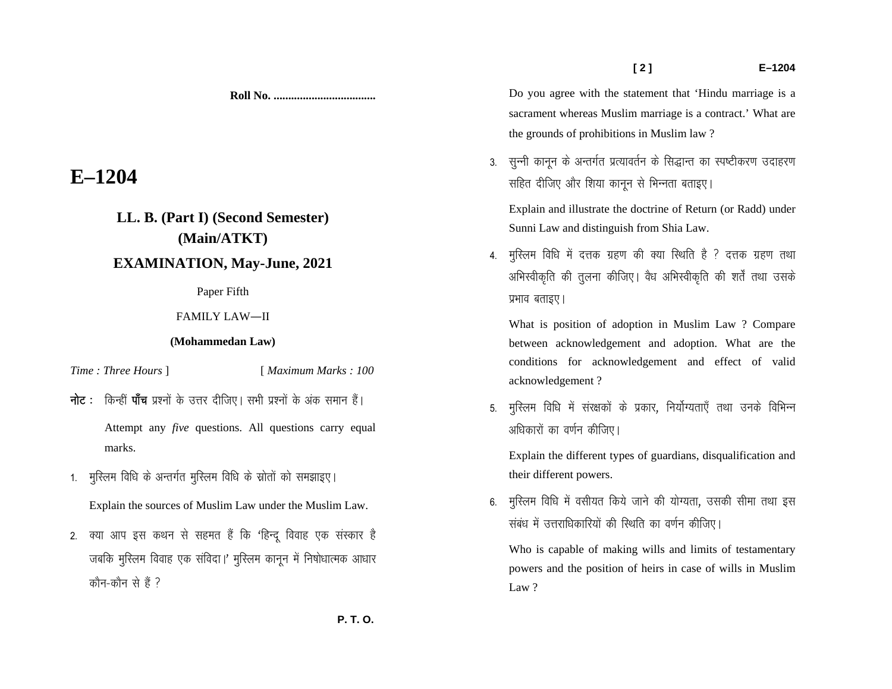## **E–1204**

## **LL. B. (Part I) (Second Semester) (Main/ATKT)**

## **EXAMINATION, May-June, 2021**

Paper Fifth

FAMILY LAW—II

## **(Mohammedan Law)**

*Time : Three Hours* ] [ *Maximum Marks : 100* 

- **नोट**: किन्हीं **पाँच** प्रश्नों के उत्तर दीजिए। सभी प्रश्नों के अंक समान हैं। Attempt any *five* questions. All questions carry equal marks.
- 1. मुस्लिम विधि के अन्तर्गत मुस्लिम विधि के स्रोतों को समझाइए।

Explain the sources of Muslim Law under the Muslim Law.

2. क्या आप इस कथन से सहमत हैं कि 'हिन्दू विवाह एक संस्कार है जबकि मुस्लिम विवाह एक संविदा।' मुस्लिम कानून में निषोधात्मक आधार कौन-कौन से हैं ?

Do you agree with the statement that 'Hindu marriage is a sacrament whereas Muslim marriage is a contract.' What are the grounds of prohibitions in Muslim law ?

- 3. सुन्नी कानून के अन्तर्गत प्रत्यावर्तन के सिद्धान्त का स्पष्टीकरण उदाहरण सहित दीजिए और शिया कानून से भिन्नता बताइए। Explain and illustrate the doctrine of Return (or Radd) under Sunni Law and distinguish from Shia Law.
- 4. मुस्लिम विधि में दत्तक ग्रहण की क्या स्थिति है ? दत्तक ग्रहण तथा अभिस्वीकृति की तुलना कीजिए। वैध अभिस्वीकृति की शर्तें तथा उसके प्रभाव बताइए।

What is position of adoption in Muslim Law ? Compare between acknowledgement and adoption. What are the conditions for acknowledgement and effect of valid acknowledgement ?

5. मुस्लिम विधि में संरक्षकों के प्रकार, निर्योग्यताएँ तथा उनके विभिन्न अधिकारों का वर्णन कीजिए।

Explain the different types of guardians, disqualification and their different powers.

6. मुस्लिम विधि में वसीयत किये जाने की योग्यता, उसकी सीमा तथा इस संबंध में उत्तराधिकारियों की स्थिति का वर्णन कीजिए।

Who is capable of making wills and limits of testamentary powers and the position of heirs in case of wills in Muslim Law ?